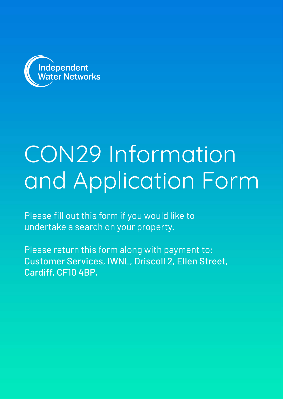

# CON29 Information and Application Form

Please fill out this form if you would like to undertake a search on your property.

Please return this form along with payment to: Customer Services, IWNL, Driscoll 2, Ellen Street, Cardiff, CF10 4BP.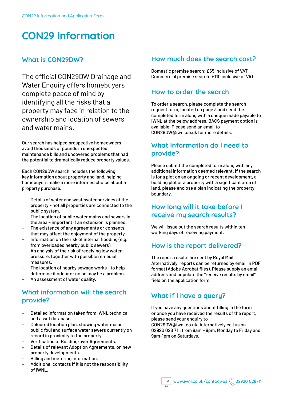# **CON29 Information**

#### **What is CON29DW?**

The official CON29DW Drainage and Water Enquiry offers homebuyers complete peace of mind by identifying all the risks that a property may face in relation to the ownership and location of sewers and water mains.

Our search has helped prospective homeowners avoid thousands of pounds in unexpected maintenance bills and uncovered problems that had the potential to dramatically reduce property values.

Each CON29DW search includes the following key information about property and land, helping homebuyers make a more informed choice about a property purchase.

- Details of water and wastewater services at the property – not all properties are connected to the public system.
- The location of public water mains and sewers in the area – important if an extension is planned.
- The existence of any agreements or consents that may affect the enjoyment of the property.
- Information on the risk of internal flooding (e.g. from overloaded nearby public sewers).
- An analysis of the risk of receiving low water pressure, together with possible remedial measures.
- The location of nearby sewage works to help determine if odour or noise may be a problem.
- An assessment of water quality.

#### **What information will the search provide?**

- Detailed information taken from IWNL technical and asset database.
- Coloured location plan, showing water mains, public foul and surface water sewers currently on record in proximity to the property.
- Verification of Building-over Agreements.
- Details of relevant Adoption Agreements, on new property developments.
- Billing and metering information.
- Additional contacts if it is not the responsibility of IWNL.

#### **How much does the search cost?**

Domestic premise search: £65 inclusive of VAT Commercial premise search: £110 inclusive of VAT

#### **How to order the search**

To order a search, please complete the search request form, located on page 3 and send the completed form along with a cheque made payable to IWNL at the below address. BACS payment option is available. Please send an email to CON29DW@iwnl.co.uk for more details.

#### **What Information do I need to provide?**

Please submit the completed form along with any additional information deemed relevant. If the search is for a plot on an ongoing or recent development, a building plot or a property with a significant area of land, please enclose a plan indicating the property boundary.

#### **How long will it take before I receive my search results?**

We will issue out the search results within ten working days of receiving payment.

#### **How is the report delivered?**

The report results are sent by Royal Mail. Alternatively, reports can be returned by email in PDF format (Adobe Acrobat files). Please supply an email address and populate the "receive results by email" field on the application form.

## **What if I have a query?**

If you have any questions about filling in the form or once you have received the results of the report, please send your enquiry to CON29DW@iwnl.co.uk. Alternatively call us on 02920 028 711, from 8am – 8pm, Monday to Friday and 9am-1pm on Saturdays.